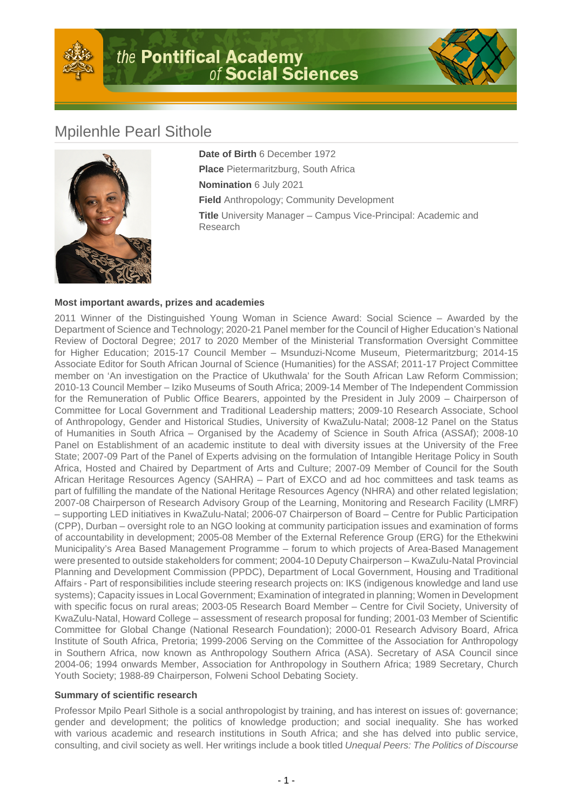



## Mpilenhle Pearl Sithole



**Date of Birth** 6 December 1972 **Place** Pietermaritzburg, South Africa **Nomination** 6 July 2021 **Field** Anthropology; Community Development **Title** University Manager – Campus Vice-Principal: Academic and Research

## **Most important awards, prizes and academies**

2011 Winner of the Distinguished Young Woman in Science Award: Social Science – Awarded by the Department of Science and Technology; 2020-21 Panel member for the Council of Higher Education's National Review of Doctoral Degree; 2017 to 2020 Member of the Ministerial Transformation Oversight Committee for Higher Education; 2015-17 Council Member – Msunduzi-Ncome Museum, Pietermaritzburg; 2014-15 Associate Editor for South African Journal of Science (Humanities) for the ASSAf; 2011-17 Project Committee member on 'An investigation on the Practice of Ukuthwala' for the South African Law Reform Commission; 2010-13 Council Member – Iziko Museums of South Africa; 2009-14 Member of The Independent Commission for the Remuneration of Public Office Bearers, appointed by the President in July 2009 – Chairperson of Committee for Local Government and Traditional Leadership matters; 2009-10 Research Associate, School of Anthropology, Gender and Historical Studies, University of KwaZulu-Natal; 2008-12 Panel on the Status of Humanities in South Africa – Organised by the Academy of Science in South Africa (ASSAf); 2008-10 Panel on Establishment of an academic institute to deal with diversity issues at the University of the Free State; 2007-09 Part of the Panel of Experts advising on the formulation of Intangible Heritage Policy in South Africa, Hosted and Chaired by Department of Arts and Culture; 2007-09 Member of Council for the South African Heritage Resources Agency (SAHRA) – Part of EXCO and ad hoc committees and task teams as part of fulfilling the mandate of the National Heritage Resources Agency (NHRA) and other related legislation; 2007-08 Chairperson of Research Advisory Group of the Learning, Monitoring and Research Facility (LMRF) – supporting LED initiatives in KwaZulu-Natal; 2006-07 Chairperson of Board – Centre for Public Participation (CPP), Durban – oversight role to an NGO looking at community participation issues and examination of forms of accountability in development; 2005-08 Member of the External Reference Group (ERG) for the Ethekwini Municipality's Area Based Management Programme – forum to which projects of Area-Based Management were presented to outside stakeholders for comment; 2004-10 Deputy Chairperson – KwaZulu-Natal Provincial Planning and Development Commission (PPDC), Department of Local Government, Housing and Traditional Affairs - Part of responsibilities include steering research projects on: IKS (indigenous knowledge and land use systems); Capacity issues in Local Government; Examination of integrated in planning; Women in Development with specific focus on rural areas; 2003-05 Research Board Member – Centre for Civil Society, University of KwaZulu-Natal, Howard College – assessment of research proposal for funding; 2001-03 Member of Scientific Committee for Global Change (National Research Foundation); 2000-01 Research Advisory Board, Africa Institute of South Africa, Pretoria; 1999-2006 Serving on the Committee of the Association for Anthropology in Southern Africa, now known as Anthropology Southern Africa (ASA). Secretary of ASA Council since 2004-06; 1994 onwards Member, Association for Anthropology in Southern Africa; 1989 Secretary, Church Youth Society; 1988-89 Chairperson, Folweni School Debating Society.

## **Summary of scientific research**

Professor Mpilo Pearl Sithole is a social anthropologist by training, and has interest on issues of: governance; gender and development; the politics of knowledge production; and social inequality. She has worked with various academic and research institutions in South Africa; and she has delved into public service, consulting, and civil society as well. Her writings include a book titled Unequal Peers: The Politics of Discourse